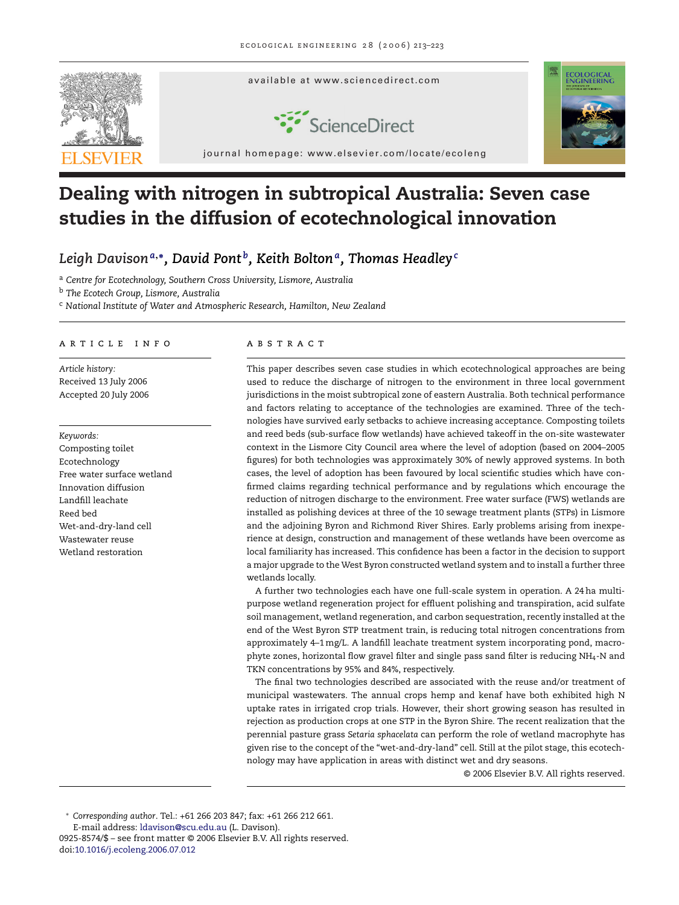

# **Dealing with nitrogen in subtropical Australia: Seven case studies in the diffusion of ecotechnological innovation**

## *Leigh Davison<sup>a</sup>***,∗***, David Pont b, Keith Boltona, Thomas Headleyc*

<sup>a</sup> *Centre for Ecotechnology, Southern Cross University, Lismore, Australia*

<sup>b</sup> *The Ecotech Group, Lismore, Australia*

<sup>c</sup> *National Institute of Water and Atmospheric Research, Hamilton, New Zealand*

#### article info

*Article history:* Received 13 July 2006 Accepted 20 July 2006

*Keywords:* Composting toilet Ecotechnology Free water surface wetland Innovation diffusion Landfill leachate Reed bed Wet-and-dry-land cell Wastewater reuse Wetland restoration

## **ABSTRACT**

This paper describes seven case studies in which ecotechnological approaches are being used to reduce the discharge of nitrogen to the environment in three local government jurisdictions in the moist subtropical zone of eastern Australia. Both technical performance and factors relating to acceptance of the technologies are examined. Three of the technologies have survived early setbacks to achieve increasing acceptance. Composting toilets and reed beds (sub-surface flow wetlands) have achieved takeoff in the on-site wastewater context in the Lismore City Council area where the level of adoption (based on 2004–2005 figures) for both technologies was approximately 30% of newly approved systems. In both cases, the level of adoption has been favoured by local scientific studies which have confirmed claims regarding technical performance and by regulations which encourage the reduction of nitrogen discharge to the environment. Free water surface (FWS) wetlands are installed as polishing devices at three of the 10 sewage treatment plants (STPs) in Lismore and the adjoining Byron and Richmond River Shires. Early problems arising from inexperience at design, construction and management of these wetlands have been overcome as local familiarity has increased. This confidence has been a factor in the decision to support a major upgrade to the West Byron constructed wetland system and to install a further three wetlands locally.

A further two technologies each have one full-scale system in operation. A 24 ha multipurpose wetland regeneration project for effluent polishing and transpiration, acid sulfate soil management, wetland regeneration, and carbon sequestration, recently installed at the end of the West Byron STP treatment train, is reducing total nitrogen concentrations from approximately 4–1mg/L. A landfill leachate treatment system incorporating pond, macrophyte zones, horizontal flow gravel filter and single pass sand filter is reducing NH4-N and TKN concentrations by 95% and 84%, respectively.

The final two technologies described are associated with the reuse and/or treatment of municipal wastewaters. The annual crops hemp and kenaf have both exhibited high N uptake rates in irrigated crop trials. However, their short growing season has resulted in rejection as production crops at one STP in the Byron Shire. The recent realization that the perennial pasture grass *Setaria sphacelata* can perform the role of wetland macrophyte has given rise to the concept of the "wet-and-dry-land" cell. Still at the pilot stage, this ecotechnology may have application in areas with distinct wet and dry seasons.

© 2006 Elsevier B.V. All rights reserved.

<sup>∗</sup> *Corresponding author*. Tel.: +61 266 203 847; fax: +61 266 212 661. E-mail address: [ldavison@scu.edu.au](mailto:ldavison@scu.edu.au) (L. Davison). 0925-8574/\$ – see front matter © 2006 Elsevier B.V. All rights reserved. doi:[10.1016/j.ecoleng.2006.07.012](dx.doi.org/10.1016/j.ecoleng.2006.07.012)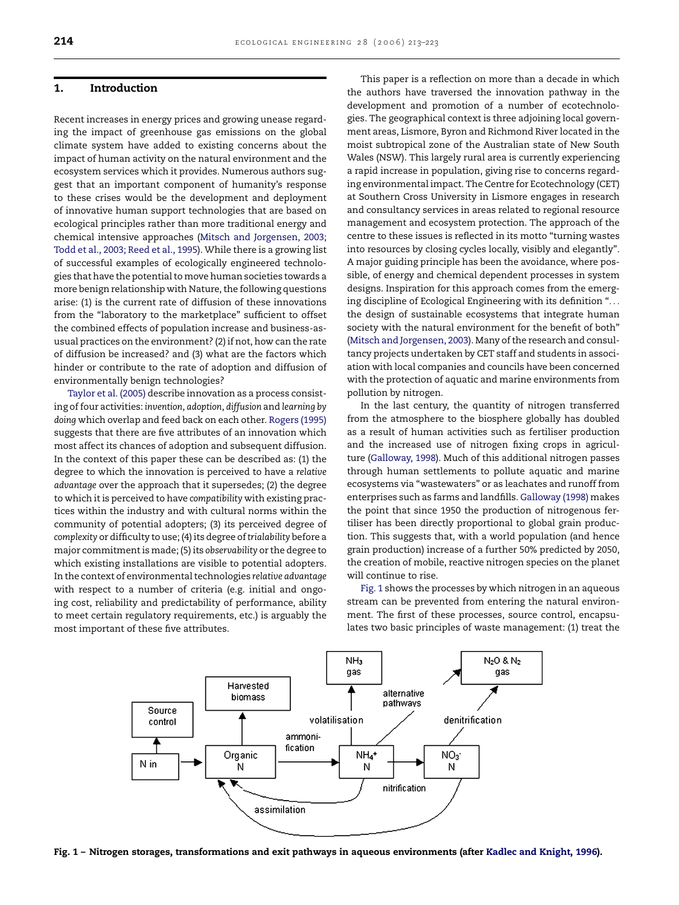## <span id="page-1-0"></span>**1. Introduction**

Recent increases in energy prices and growing unease regarding the impact of greenhouse gas emissions on the global climate system have added to existing concerns about the impact of human activity on the natural environment and the ecosystem services which it provides. Numerous authors suggest that an important component of humanity's response to these crises would be the development and deployment of innovative human support technologies that are based on ecological principles rather than more traditional energy and chemical intensive approaches [\(Mitsch and Jorgensen, 2003;](#page-10-0) [Todd et al., 2003; Reed et al., 1995\).](#page-10-0) While there is a growing list of successful examples of ecologically engineered technologies that have the potential to move human societies towards a more benign relationship with Nature, the following questions arise: (1) is the current rate of diffusion of these innovations from the "laboratory to the marketplace" sufficient to offset the combined effects of population increase and business-asusual practices on the environment? (2) if not, how can the rate of diffusion be increased? and (3) what are the factors which hinder or contribute to the rate of adoption and diffusion of environmentally benign technologies?

[Taylor et al. \(2005\)](#page-10-0) describe innovation as a process consisting of four activities: *invention*, *adoption*, *diffusion* and *learning by doing* which overlap and feed back on each other. [Rogers \(1995\)](#page-10-0) suggests that there are five attributes of an innovation which most affect its chances of adoption and subsequent diffusion. In the context of this paper these can be described as: (1) the degree to which the innovation is perceived to have a *relative advantage* over the approach that it supersedes; (2) the degree to which it is perceived to have *compatibility* with existing practices within the industry and with cultural norms within the community of potential adopters; (3) its perceived degree of *complexity* or difficulty to use; (4) its degree of*trialability* before a major commitment is made; (5) its *observability* or the degree to which existing installations are visible to potential adopters. In the context of environmental technologies *relative advantage* with respect to a number of criteria (e.g. initial and ongoing cost, reliability and predictability of performance, ability to meet certain regulatory requirements, etc.) is arguably the most important of these five attributes.

This paper is a reflection on more than a decade in which the authors have traversed the innovation pathway in the development and promotion of a number of ecotechnologies. The geographical context is three adjoining local government areas, Lismore, Byron and Richmond River located in the moist subtropical zone of the Australian state of New South Wales (NSW). This largely rural area is currently experiencing a rapid increase in population, giving rise to concerns regarding environmental impact. The Centre for Ecotechnology (CET) at Southern Cross University in Lismore engages in research and consultancy services in areas related to regional resource management and ecosystem protection. The approach of the centre to these issues is reflected in its motto "turning wastes into resources by closing cycles locally, visibly and elegantly". A major guiding principle has been the avoidance, where possible, of energy and chemical dependent processes in system designs. Inspiration for this approach comes from the emerging discipline of Ecological Engineering with its definition "... the design of sustainable ecosystems that integrate human society with the natural environment for the benefit of both" ([Mitsch and Jorgensen, 2003\).](#page-10-0) Many of the research and consultancy projects undertaken by CET staff and students in association with local companies and councils have been concerned with the protection of aquatic and marine environments from pollution by nitrogen.

In the last century, the quantity of nitrogen transferred from the atmosphere to the biosphere globally has doubled as a result of human activities such as fertiliser production and the increased use of nitrogen fixing crops in agriculture [\(Galloway, 1998\).](#page-10-0) Much of this additional nitrogen passes through human settlements to pollute aquatic and marine ecosystems via "wastewaters" or as leachates and runoff from enterprises such as farms and landfills. [Galloway \(1998\)](#page-10-0) makes the point that since 1950 the production of nitrogenous fertiliser has been directly proportional to global grain production. This suggests that, with a world population (and hence grain production) increase of a further 50% predicted by 2050, the creation of mobile, reactive nitrogen species on the planet will continue to rise.

Fig. 1 shows the processes by which nitrogen in an aqueous stream can be prevented from entering the natural environment. The first of these processes, source control, encapsulates two basic principles of waste management: (1) treat the



**Fig. 1 – Nitrogen storages, transformations and exit pathways in aqueous environments (after [Kadlec and Knight, 1996\).](#page-10-0)**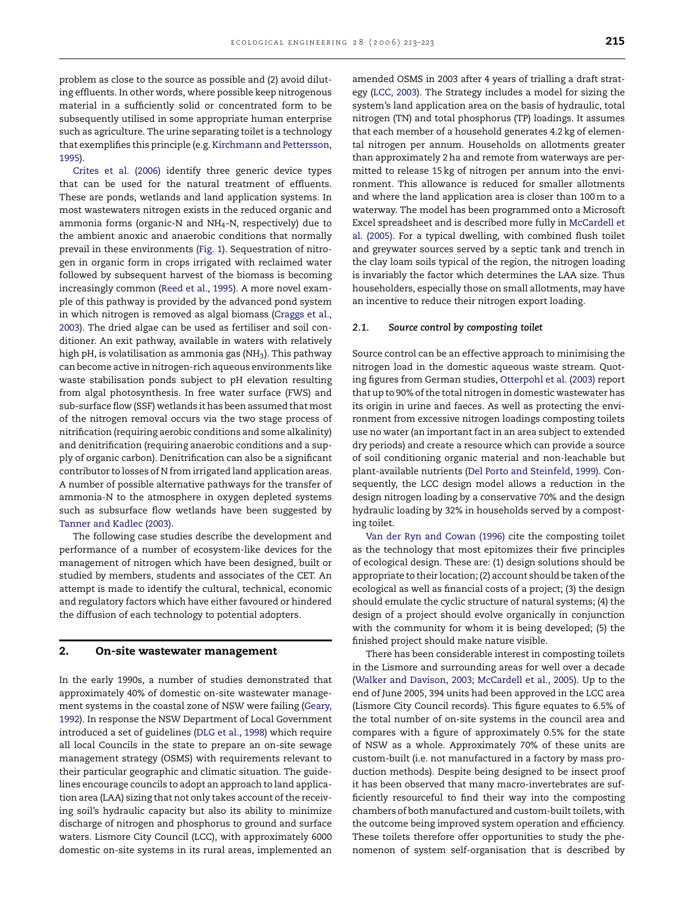problem as close to the source as possible and (2) avoid diluting effluents. In other words, where possible keep nitrogenous material in a sufficiently solid or concentrated form to be subsequently utilised in some appropriate human enterprise such as agriculture. The urine separating toilet is a technology that exemplifies this principle (e.g. [Kirchmann and Pettersson,](#page-10-0) [1995\).](#page-10-0)

[Crites et al. \(2006\)](#page-10-0) identify three generic device types that can be used for the natural treatment of effluents. These are ponds, wetlands and land application systems. In most wastewaters nitrogen exists in the reduced organic and ammonia forms (organic-N and NH4-N, respectively) due to the ambient anoxic and anaerobic conditions that normally prevail in these environments ([Fig. 1\).](#page-1-0) Sequestration of nitrogen in organic form in crops irrigated with reclaimed water followed by subsequent harvest of the biomass is becoming increasingly common ([Reed et al., 1995\).](#page-10-0) A more novel example of this pathway is provided by the advanced pond system in which nitrogen is removed as algal biomass ([Craggs et al.,](#page-10-0) [2003\).](#page-10-0) The dried algae can be used as fertiliser and soil conditioner. An exit pathway, available in waters with relatively high pH, is volatilisation as ammonia gas (NH<sub>3</sub>). This pathway can become active in nitrogen-rich aqueous environments like waste stabilisation ponds subject to pH elevation resulting from algal photosynthesis. In free water surface (FWS) and sub-surface flow (SSF) wetlands it has been assumed that most of the nitrogen removal occurs via the two stage process of nitrification (requiring aerobic conditions and some alkalinity) and denitrification (requiring anaerobic conditions and a supply of organic carbon). Denitrification can also be a significant contributor to losses of N from irrigated land application areas. A number of possible alternative pathways for the transfer of ammonia-N to the atmosphere in oxygen depleted systems such as subsurface flow wetlands have been suggested by [Tanner and Kadlec \(2003\).](#page-10-0)

The following case studies describe the development and performance of a number of ecosystem-like devices for the management of nitrogen which have been designed, built or studied by members, students and associates of the CET. An attempt is made to identify the cultural, technical, economic and regulatory factors which have either favoured or hindered the diffusion of each technology to potential adopters.

## **2. On-site wastewater management**

In the early 1990s, a number of studies demonstrated that approximately 40% of domestic on-site wastewater management systems in the coastal zone of NSW were failing ([Geary,](#page-10-0) [1992\).](#page-10-0) In response the NSW Department of Local Government introduced a set of guidelines [\(DLG et al., 1998\) w](#page-10-0)hich require all local Councils in the state to prepare an on-site sewage management strategy (OSMS) with requirements relevant to their particular geographic and climatic situation. The guidelines encourage councils to adopt an approach to land application area (LAA) sizing that not only takes account of the receiving soil's hydraulic capacity but also its ability to minimize discharge of nitrogen and phosphorus to ground and surface waters. Lismore City Council (LCC), with approximately 6000 domestic on-site systems in its rural areas, implemented an amended OSMS in 2003 after 4 years of trialling a draft strategy ([LCC, 2003\).](#page-10-0) The Strategy includes a model for sizing the system's land application area on the basis of hydraulic, total nitrogen (TN) and total phosphorus (TP) loadings. It assumes that each member of a household generates 4.2 kg of elemental nitrogen per annum. Households on allotments greater than approximately 2 ha and remote from waterways are permitted to release 15 kg of nitrogen per annum into the environment. This allowance is reduced for smaller allotments and where the land application area is closer than 100m to a waterway. The model has been programmed onto a Microsoft Excel spreadsheet and is described more fully in [McCardell et](#page-10-0) [al. \(2005\).](#page-10-0) For a typical dwelling, with combined flush toilet and greywater sources served by a septic tank and trench in the clay loam soils typical of the region, the nitrogen loading is invariably the factor which determines the LAA size. Thus householders, especially those on small allotments, may have an incentive to reduce their nitrogen export loading.

#### *2.1. Source control by composting toilet*

Source control can be an effective approach to minimising the nitrogen load in the domestic aqueous waste stream. Quoting figures from German studies, [Otterpohl et al. \(2003\)](#page-10-0) report that up to 90% of the total nitrogen in domestic wastewater has its origin in urine and faeces. As well as protecting the environment from excessive nitrogen loadings composting toilets use no water (an important fact in an area subject to extended dry periods) and create a resource which can provide a source of soil conditioning organic material and non-leachable but plant-available nutrients [\(Del Porto and Steinfeld, 1999\).](#page-10-0) Consequently, the LCC design model allows a reduction in the design nitrogen loading by a conservative 70% and the design hydraulic loading by 32% in households served by a composting toilet.

[Van der Ryn and Cowan \(1996\)](#page-10-0) cite the composting toilet as the technology that most epitomizes their five principles of ecological design. These are: (1) design solutions should be appropriate to their location; (2) account should be taken of the ecological as well as financial costs of a project; (3) the design should emulate the cyclic structure of natural systems; (4) the design of a project should evolve organically in conjunction with the community for whom it is being developed; (5) the finished project should make nature visible.

There has been considerable interest in composting toilets in the Lismore and surrounding areas for well over a decade ([Walker and Davison, 2003; McCardell et al., 2005\).](#page-10-0) Up to the end of June 2005, 394 units had been approved in the LCC area (Lismore City Council records). This figure equates to 6.5% of the total number of on-site systems in the council area and compares with a figure of approximately 0.5% for the state of NSW as a whole. Approximately 70% of these units are custom-built (i.e. not manufactured in a factory by mass production methods). Despite being designed to be insect proof it has been observed that many macro-invertebrates are sufficiently resourceful to find their way into the composting chambers of both manufactured and custom-built toilets, with the outcome being improved system operation and efficiency. These toilets therefore offer opportunities to study the phenomenon of system self-organisation that is described by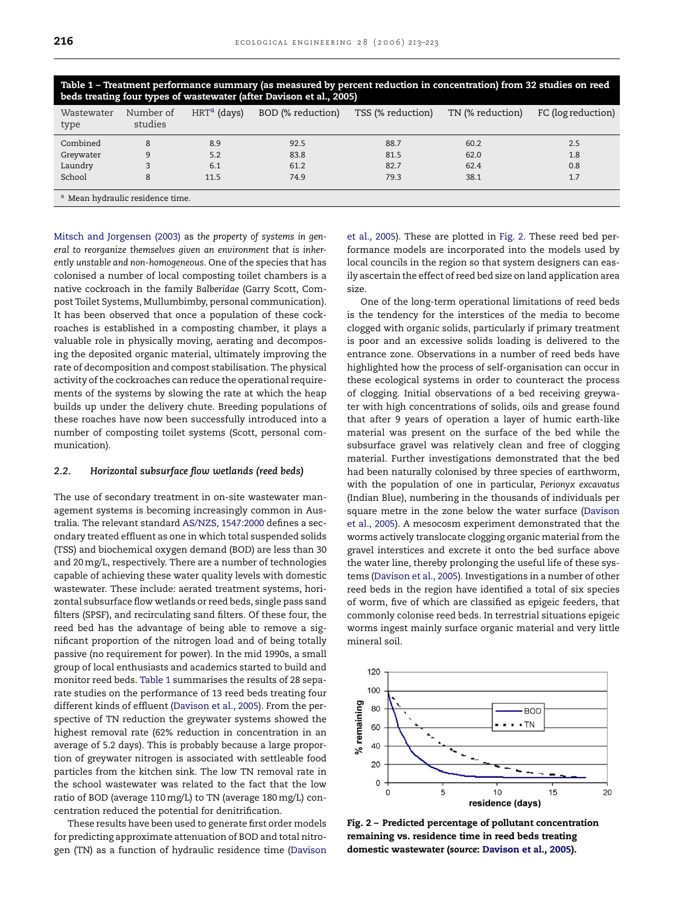<span id="page-3-0"></span>

| Table 1 – Treatment performance summary (as measured by percent reduction in concentration) from 32 studies on reed<br>beds treating four types of wastewater (after Davison et al., 2005) |                      |                         |                   |                   |                  |                    |  |  |  |
|--------------------------------------------------------------------------------------------------------------------------------------------------------------------------------------------|----------------------|-------------------------|-------------------|-------------------|------------------|--------------------|--|--|--|
| Wastewater<br>type                                                                                                                                                                         | Number of<br>studies | HRT <sup>a</sup> (days) | BOD (% reduction) | TSS (% reduction) | TN (% reduction) | FC (log reduction) |  |  |  |
| Combined                                                                                                                                                                                   | 8                    | 8.9                     | 92.5              | 88.7              | 60.2             | 2.5                |  |  |  |
| Greywater                                                                                                                                                                                  | 9                    | 5.2                     | 83.8              | 81.5              | 62.0             | 1.8                |  |  |  |
| Laundry                                                                                                                                                                                    |                      | 6.1                     | 61.2              | 82.7              | 62.4             | 0.8                |  |  |  |
| School                                                                                                                                                                                     | 8                    | 11.5                    | 74.9              | 79.3              | 38.1             | 1.7                |  |  |  |
| <sup>a</sup> Mean hydraulic residence time.                                                                                                                                                |                      |                         |                   |                   |                  |                    |  |  |  |

[Mitsch and Jorgensen \(2003\)](#page-10-0) as *the property of systems in general to reorganize themselves given an environment that is inherently unstable and non*-*homogeneous*. One of the species that has colonised a number of local composting toilet chambers is a native cockroach in the family *Balberidae* (Garry Scott, Compost Toilet Systems, Mullumbimby, personal communication). It has been observed that once a population of these cockroaches is established in a composting chamber, it plays a valuable role in physically moving, aerating and decomposing the deposited organic material, ultimately improving the rate of decomposition and compost stabilisation. The physical activity of the cockroaches can reduce the operational requirements of the systems by slowing the rate at which the heap builds up under the delivery chute. Breeding populations of these roaches have now been successfully introduced into a number of composting toilet systems (Scott, personal communication).

### *2.2. Horizontal subsurface flow wetlands (reed beds)*

The use of secondary treatment in on-site wastewater management systems is becoming increasingly common in Australia. The relevant standard [AS/NZS, 1547:2000](#page-10-0) defines a secondary treated effluent as one in which total suspended solids (TSS) and biochemical oxygen demand (BOD) are less than 30 and 20mg/L, respectively. There are a number of technologies capable of achieving these water quality levels with domestic wastewater. These include: aerated treatment systems, horizontal subsurface flow wetlands or reed beds, single pass sand filters (SPSF), and recirculating sand filters. Of these four, the reed bed has the advantage of being able to remove a significant proportion of the nitrogen load and of being totally passive (no requirement for power). In the mid 1990s, a small group of local enthusiasts and academics started to build and monitor reed beds. Table 1 summarises the results of 28 separate studies on the performance of 13 reed beds treating four different kinds of effluent [\(Davison et al., 2005\).](#page-10-0) From the perspective of TN reduction the greywater systems showed the highest removal rate (62% reduction in concentration in an average of 5.2 days). This is probably because a large proportion of greywater nitrogen is associated with settleable food particles from the kitchen sink. The low TN removal rate in the school wastewater was related to the fact that the low ratio of BOD (average 110mg/L) to TN (average 180mg/L) concentration reduced the potential for denitrification.

These results have been used to generate first order models for predicting approximate attenuation of BOD and total nitrogen (TN) as a function of hydraulic residence time ([Davison](#page-10-0) [et al., 2005\).](#page-10-0) These are plotted in Fig. 2. These reed bed performance models are incorporated into the models used by local councils in the region so that system designers can easily ascertain the effect of reed bed size on land application area size.

One of the long-term operational limitations of reed beds is the tendency for the interstices of the media to become clogged with organic solids, particularly if primary treatment is poor and an excessive solids loading is delivered to the entrance zone. Observations in a number of reed beds have highlighted how the process of self-organisation can occur in these ecological systems in order to counteract the process of clogging. Initial observations of a bed receiving greywater with high concentrations of solids, oils and grease found that after 9 years of operation a layer of humic earth-like material was present on the surface of the bed while the subsurface gravel was relatively clean and free of clogging material. Further investigations demonstrated that the bed had been naturally colonised by three species of earthworm, with the population of one in particular, *Perionyx excavatus* (Indian Blue), numbering in the thousands of individuals per square metre in the zone below the water surface [\(Davison](#page-10-0) [et al., 2005\).](#page-10-0) A mesocosm experiment demonstrated that the worms actively translocate clogging organic material from the gravel interstices and excrete it onto the bed surface above the water line, thereby prolonging the useful life of these systems [\(Davison et al., 2005\).](#page-10-0) Investigations in a number of other reed beds in the region have identified a total of six species of worm, five of which are classified as epigeic feeders, that commonly colonise reed beds. In terrestrial situations epigeic worms ingest mainly surface organic material and very little mineral soil.



**Fig. 2 – Predicted percentage of pollutant concentration remaining vs. residence time in reed beds treating domestic wastewater (***source***: [Davison et al., 2005\).](#page-10-0)**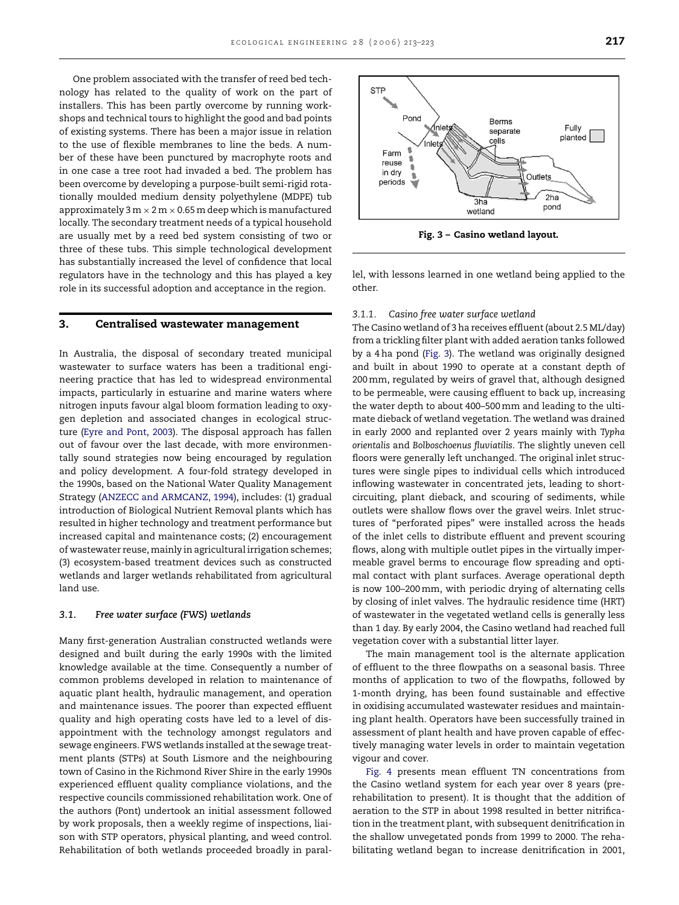<span id="page-4-0"></span>One problem associated with the transfer of reed bed technology has related to the quality of work on the part of installers. This has been partly overcome by running workshops and technical tours to highlight the good and bad points of existing systems. There has been a major issue in relation to the use of flexible membranes to line the beds. A number of these have been punctured by macrophyte roots and in one case a tree root had invaded a bed. The problem has been overcome by developing a purpose-built semi-rigid rotationally moulded medium density polyethylene (MDPE) tub approximately  $3m \times 2m \times 0.65m$  deep which is manufactured locally. The secondary treatment needs of a typical household are usually met by a reed bed system consisting of two or three of these tubs. This simple technological development has substantially increased the level of confidence that local regulators have in the technology and this has played a key role in its successful adoption and acceptance in the region.

#### **3. Centralised wastewater management**

In Australia, the disposal of secondary treated municipal wastewater to surface waters has been a traditional engineering practice that has led to widespread environmental impacts, particularly in estuarine and marine waters where nitrogen inputs favour algal bloom formation leading to oxygen depletion and associated changes in ecological structure [\(Eyre and Pont, 2003\).](#page-10-0) The disposal approach has fallen out of favour over the last decade, with more environmentally sound strategies now being encouraged by regulation and policy development. A four-fold strategy developed in the 1990s, based on the National Water Quality Management Strategy ([ANZECC and ARMCANZ, 1994\),](#page-10-0) includes: (1) gradual introduction of Biological Nutrient Removal plants which has resulted in higher technology and treatment performance but increased capital and maintenance costs; (2) encouragement of wastewater reuse, mainly in agricultural irrigation schemes; (3) ecosystem-based treatment devices such as constructed wetlands and larger wetlands rehabilitated from agricultural land use.

#### *3.1. Free water surface (FWS) wetlands*

Many first-generation Australian constructed wetlands were designed and built during the early 1990s with the limited knowledge available at the time. Consequently a number of common problems developed in relation to maintenance of aquatic plant health, hydraulic management, and operation and maintenance issues. The poorer than expected effluent quality and high operating costs have led to a level of disappointment with the technology amongst regulators and sewage engineers. FWS wetlands installed at the sewage treatment plants (STPs) at South Lismore and the neighbouring town of Casino in the Richmond River Shire in the early 1990s experienced effluent quality compliance violations, and the respective councils commissioned rehabilitation work. One of the authors (Pont) undertook an initial assessment followed by work proposals, then a weekly regime of inspections, liaison with STP operators, physical planting, and weed control. Rehabilitation of both wetlands proceeded broadly in paral-



**Fig. 3 – Casino wetland layout.**

lel, with lessons learned in one wetland being applied to the other.

## *3.1.1. Casino free water surface wetland*

The Casino wetland of 3 ha receives effluent (about 2.5 ML/day) from a trickling filter plant with added aeration tanks followed by a 4 ha pond (Fig. 3). The wetland was originally designed and built in about 1990 to operate at a constant depth of 200mm, regulated by weirs of gravel that, although designed to be permeable, were causing effluent to back up, increasing the water depth to about 400–500mm and leading to the ultimate dieback of wetland vegetation. The wetland was drained in early 2000 and replanted over 2 years mainly with *Typha orientalis* and *Bolboschoenus fluviatilis*. The slightly uneven cell floors were generally left unchanged. The original inlet structures were single pipes to individual cells which introduced inflowing wastewater in concentrated jets, leading to shortcircuiting, plant dieback, and scouring of sediments, while outlets were shallow flows over the gravel weirs. Inlet structures of "perforated pipes" were installed across the heads of the inlet cells to distribute effluent and prevent scouring flows, along with multiple outlet pipes in the virtually impermeable gravel berms to encourage flow spreading and optimal contact with plant surfaces. Average operational depth is now 100–200mm, with periodic drying of alternating cells by closing of inlet valves. The hydraulic residence time (HRT) of wastewater in the vegetated wetland cells is generally less than 1 day. By early 2004, the Casino wetland had reached full vegetation cover with a substantial litter layer.

The main management tool is the alternate application of effluent to the three flowpaths on a seasonal basis. Three months of application to two of the flowpaths, followed by 1-month drying, has been found sustainable and effective in oxidising accumulated wastewater residues and maintaining plant health. Operators have been successfully trained in assessment of plant health and have proven capable of effectively managing water levels in order to maintain vegetation vigour and cover.

[Fig. 4](#page-5-0) presents mean effluent TN concentrations from the Casino wetland system for each year over 8 years (prerehabilitation to present). It is thought that the addition of aeration to the STP in about 1998 resulted in better nitrification in the treatment plant, with subsequent denitrification in the shallow unvegetated ponds from 1999 to 2000. The rehabilitating wetland began to increase denitrification in 2001,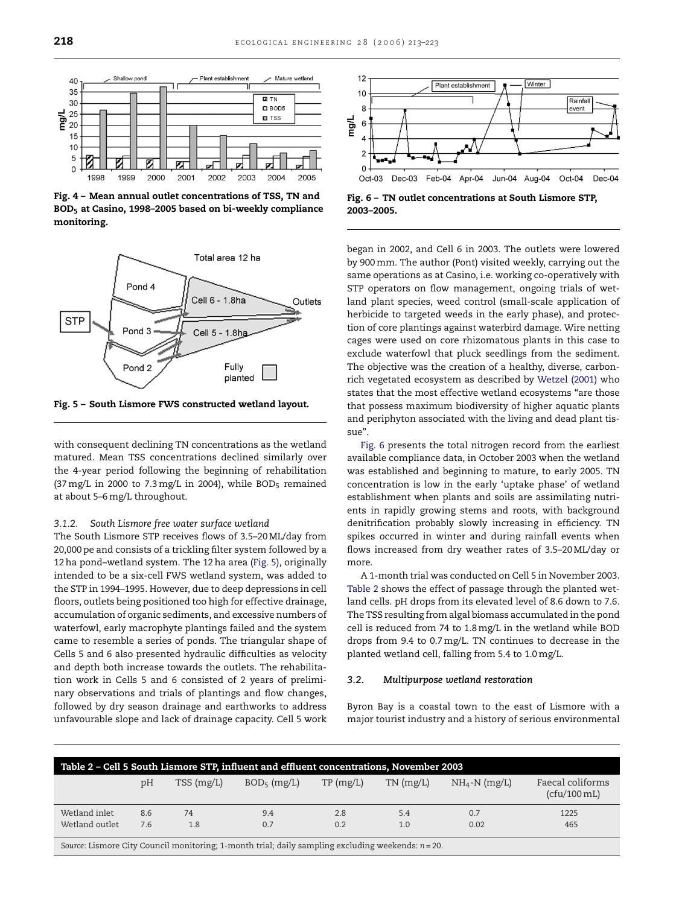<span id="page-5-0"></span>

**Fig. 4 – Mean annual outlet concentrations of TSS, TN and BOD5 at Casino, 1998–2005 based on bi-weekly compliance monitoring.**



**Fig. 5 – South Lismore FWS constructed wetland layout.**

with consequent declining TN concentrations as the wetland matured. Mean TSS concentrations declined similarly over the 4-year period following the beginning of rehabilitation (37 mg/L in 2000 to 7.3 mg/L in 2004), while BOD<sub>5</sub> remained at about 5–6mg/L throughout.

#### *3.1.2. South Lismore free water surface wetland*

The South Lismore STP receives flows of 3.5–20 ML/day from 20,000 pe and consists of a trickling filter system followed by a 12 ha pond–wetland system. The 12 ha area (Fig. 5), originally intended to be a six-cell FWS wetland system, was added to the STP in 1994–1995. However, due to deep depressions in cell floors, outlets being positioned too high for effective drainage, accumulation of organic sediments, and excessive numbers of waterfowl, early macrophyte plantings failed and the system came to resemble a series of ponds. The triangular shape of Cells 5 and 6 also presented hydraulic difficulties as velocity and depth both increase towards the outlets. The rehabilitation work in Cells 5 and 6 consisted of 2 years of preliminary observations and trials of plantings and flow changes, followed by dry season drainage and earthworks to address unfavourable slope and lack of drainage capacity. Cell 5 work



**Fig. 6 – TN outlet concentrations at South Lismore STP, 2003–2005.**

began in 2002, and Cell 6 in 2003. The outlets were lowered by 900mm. The author (Pont) visited weekly, carrying out the same operations as at Casino, i.e. working co-operatively with STP operators on flow management, ongoing trials of wetland plant species, weed control (small-scale application of herbicide to targeted weeds in the early phase), and protection of core plantings against waterbird damage. Wire netting cages were used on core rhizomatous plants in this case to exclude waterfowl that pluck seedlings from the sediment. The objective was the creation of a healthy, diverse, carbonrich vegetated ecosystem as described by [Wetzel \(2001\)](#page-10-0) who states that the most effective wetland ecosystems "are those that possess maximum biodiversity of higher aquatic plants and periphyton associated with the living and dead plant tis- $SUB''$ 

Fig. 6 presents the total nitrogen record from the earliest available compliance data, in October 2003 when the wetland was established and beginning to mature, to early 2005. TN concentration is low in the early 'uptake phase' of wetland establishment when plants and soils are assimilating nutrients in rapidly growing stems and roots, with background denitrification probably slowly increasing in efficiency. TN spikes occurred in winter and during rainfall events when flows increased from dry weather rates of 3.5–20 ML/day or more.

A 1-month trial was conducted on Cell 5 in November 2003. Table 2 shows the effect of passage through the planted wetland cells. pH drops from its elevated level of 8.6 down to 7.6. The TSS resulting from algal biomass accumulated in the pond cell is reduced from 74 to 1.8mg/L in the wetland while BOD drops from 9.4 to 0.7mg/L. TN continues to decrease in the planted wetland cell, falling from 5.4 to 1.0mg/L.

#### *3.2. Multipurpose wetland restoration*

Byron Bay is a coastal town to the east of Lismore with a major tourist industry and a history of serious environmental

| Table 2 - Cell 5 South Lismore STP, influent and effluent concentrations, November 2003               |     |            |               |          |             |                 |                                  |  |  |
|-------------------------------------------------------------------------------------------------------|-----|------------|---------------|----------|-------------|-----------------|----------------------------------|--|--|
|                                                                                                       |     |            |               |          |             |                 |                                  |  |  |
|                                                                                                       | рH  | TSS (mg/L) | $BOD5$ (mg/L) | TP(mg/L) | $TN$ (mg/L) | $NH_4-N$ (mg/L) | Faecal coliforms<br>(cfu/100 mL) |  |  |
| Wetland inlet                                                                                         | 8.6 | 74         | 9.4           | 2.8      | 5.4         | 0.7             | 1225                             |  |  |
| Wetland outlet                                                                                        | 7.6 | 1.8        | 0.7           | 0.2      | 1.0         | 0.02            | 465                              |  |  |
| Source: Lismore City Council monitoring; 1-month trial; daily sampling excluding weekends: $n = 20$ . |     |            |               |          |             |                 |                                  |  |  |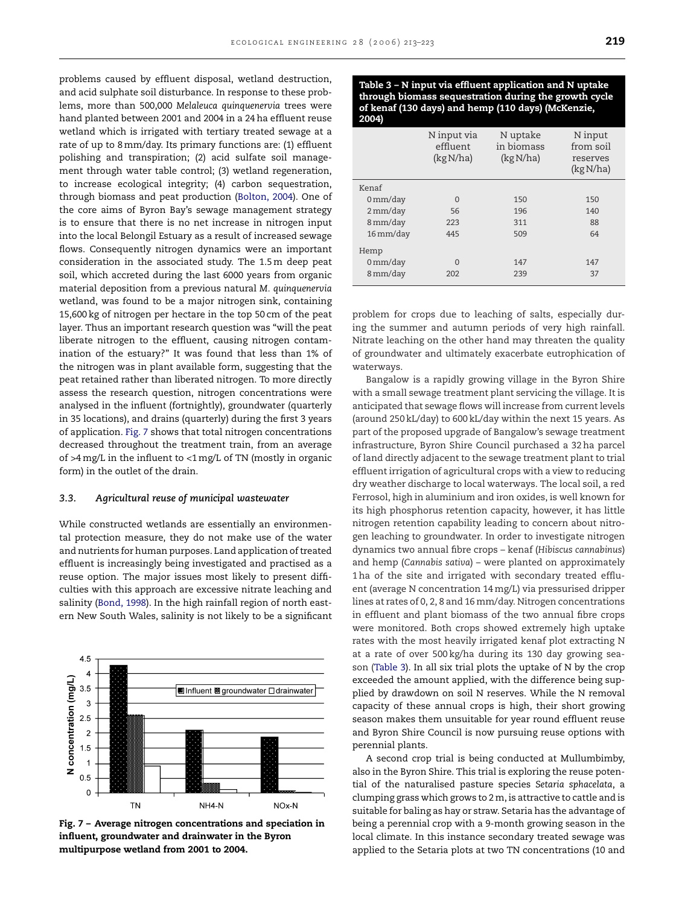problems caused by effluent disposal, wetland destruction, and acid sulphate soil disturbance. In response to these problems, more than 500,000 *Melaleuca quinquenervia* trees were hand planted between 2001 and 2004 in a 24 ha effluent reuse wetland which is irrigated with tertiary treated sewage at a rate of up to 8mm/day. Its primary functions are: (1) effluent polishing and transpiration; (2) acid sulfate soil management through water table control; (3) wetland regeneration, to increase ecological integrity; (4) carbon sequestration, through biomass and peat production [\(Bolton, 2004\).](#page-10-0) One of the core aims of Byron Bay's sewage management strategy is to ensure that there is no net increase in nitrogen input into the local Belongil Estuary as a result of increased sewage flows. Consequently nitrogen dynamics were an important consideration in the associated study. The 1.5m deep peat soil, which accreted during the last 6000 years from organic material deposition from a previous natural *M. quinquenervia* wetland, was found to be a major nitrogen sink, containing 15,600 kg of nitrogen per hectare in the top 50 cm of the peat layer. Thus an important research question was "will the peat liberate nitrogen to the effluent, causing nitrogen contamination of the estuary?" It was found that less than 1% of the nitrogen was in plant available form, suggesting that the peat retained rather than liberated nitrogen. To more directly assess the research question, nitrogen concentrations were analysed in the influent (fortnightly), groundwater (quarterly in 35 locations), and drains (quarterly) during the first 3 years of application. Fig. 7 shows that total nitrogen concentrations decreased throughout the treatment train, from an average of >4mg/L in the influent to <1mg/L of TN (mostly in organic form) in the outlet of the drain.

#### *3.3. Agricultural reuse of municipal wastewater*

 $4.5$ 

 $3.5$ 

3  $2.5$  $\overline{2}$  $1.5$  $\overline{1}$ z  $0.5$  $\Omega$ 

concentration (mg/L)

While constructed wetlands are essentially an environmental protection measure, they do not make use of the water and nutrients for human purposes. Land application of treated effluent is increasingly being investigated and practised as a reuse option. The major issues most likely to present difficulties with this approach are excessive nitrate leaching and salinity ([Bond, 1998\).](#page-10-0) In the high rainfall region of north eastern New South Wales, salinity is not likely to be a significant

NOx-N

## **Fig. 7 – Average nitrogen concentrations and speciation in influent, groundwater and drainwater in the Byron multipurpose wetland from 2001 to 2004.**

NH4-N

**TN** 

**Table 3 – N input via effluent application and N uptake through biomass sequestration during the growth cycle of kenaf (130 days) and hemp (110 days) [\(McKenzie,](#page-10-0) [2004\)](#page-10-0)**

|                                | N input via<br>effluent<br>(kg N/ha) | N uptake<br>in biomass<br>(kgN/ha) | N input<br>from soil<br>reserves<br>(kg N/ha) |  |
|--------------------------------|--------------------------------------|------------------------------------|-----------------------------------------------|--|
| Kenaf                          |                                      |                                    |                                               |  |
| $0 \,\mathrm{mm}/\mathrm{day}$ | $\Omega$                             | 150                                | 150                                           |  |
| 2 mm/day                       | 56                                   | 196                                | 140                                           |  |
| 8 mm/day                       | 223                                  | 311                                | 88                                            |  |
| 16 mm/day                      | 445                                  | 509                                | 64                                            |  |
| Hemp                           |                                      |                                    |                                               |  |
| $0 \,\mathrm{mm}/\mathrm{day}$ | $\Omega$                             | 147                                | 147                                           |  |
| 8 mm/day                       | 202                                  | 239                                | 37                                            |  |

problem for crops due to leaching of salts, especially during the summer and autumn periods of very high rainfall. Nitrate leaching on the other hand may threaten the quality of groundwater and ultimately exacerbate eutrophication of waterways.

Bangalow is a rapidly growing village in the Byron Shire with a small sewage treatment plant servicing the village. It is anticipated that sewage flows will increase from current levels (around 250 kL/day) to 600 kL/day within the next 15 years. As part of the proposed upgrade of Bangalow's sewage treatment infrastructure, Byron Shire Council purchased a 32 ha parcel of land directly adjacent to the sewage treatment plant to trial effluent irrigation of agricultural crops with a view to reducing dry weather discharge to local waterways. The local soil, a red Ferrosol, high in aluminium and iron oxides, is well known for its high phosphorus retention capacity, however, it has little nitrogen retention capability leading to concern about nitrogen leaching to groundwater. In order to investigate nitrogen dynamics two annual fibre crops – kenaf (*Hibiscus cannabinus*) and hemp (*Cannabis sativa*) – were planted on approximately 1 ha of the site and irrigated with secondary treated effluent (average N concentration 14mg/L) via pressurised dripper lines at rates of 0, 2, 8 and 16mm/day. Nitrogen concentrations in effluent and plant biomass of the two annual fibre crops were monitored. Both crops showed extremely high uptake rates with the most heavily irrigated kenaf plot extracting N at a rate of over 500 kg/ha during its 130 day growing season (Table 3). In all six trial plots the uptake of N by the crop exceeded the amount applied, with the difference being supplied by drawdown on soil N reserves. While the N removal capacity of these annual crops is high, their short growing season makes them unsuitable for year round effluent reuse and Byron Shire Council is now pursuing reuse options with perennial plants.

A second crop trial is being conducted at Mullumbimby, also in the Byron Shire. This trial is exploring the reuse potential of the naturalised pasture species *Setaria sphacelata*, a clumping grass which grows to 2m, is attractive to cattle and is suitable for baling as hay or straw. Setaria has the advantage of being a perennial crop with a 9-month growing season in the local climate. In this instance secondary treated sewage was applied to the Setaria plots at two TN concentrations (10 and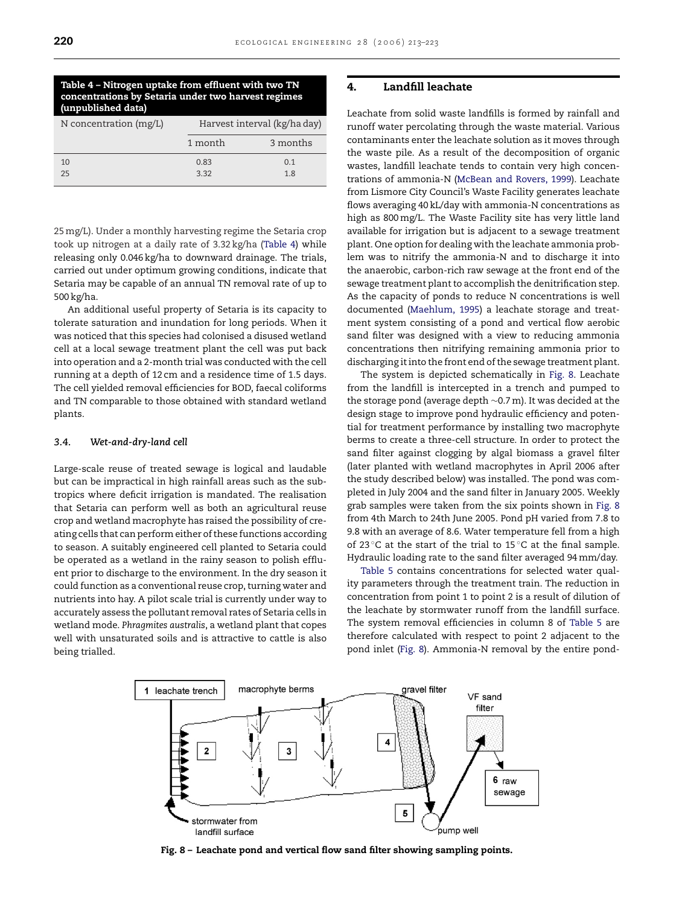

| N concentration $(mg/L)$ | Harvest interval (kg/ha day) |          |  |  |
|--------------------------|------------------------------|----------|--|--|
|                          | 1 month                      | 3 months |  |  |
| 10                       | 0.83                         | 0.1      |  |  |
| 25                       | 332                          | 18       |  |  |

25mg/L). Under a monthly harvesting regime the Setaria crop took up nitrogen at a daily rate of 3.32 kg/ha (Table 4) while releasing only 0.046 kg/ha to downward drainage. The trials, carried out under optimum growing conditions, indicate that Setaria may be capable of an annual TN removal rate of up to 500 kg/ha.

An additional useful property of Setaria is its capacity to tolerate saturation and inundation for long periods. When it was noticed that this species had colonised a disused wetland cell at a local sewage treatment plant the cell was put back into operation and a 2-month trial was conducted with the cell running at a depth of 12 cm and a residence time of 1.5 days. The cell yielded removal efficiencies for BOD, faecal coliforms and TN comparable to those obtained with standard wetland plants.

#### *3.4. Wet-and-dry-land cell*

Large-scale reuse of treated sewage is logical and laudable but can be impractical in high rainfall areas such as the subtropics where deficit irrigation is mandated. The realisation that Setaria can perform well as both an agricultural reuse crop and wetland macrophyte has raised the possibility of creating cells that can perform either of these functions according to season. A suitably engineered cell planted to Setaria could be operated as a wetland in the rainy season to polish effluent prior to discharge to the environment. In the dry season it could function as a conventional reuse crop, turning water and nutrients into hay. A pilot scale trial is currently under way to accurately assess the pollutant removal rates of Setaria cells in wetland mode. *Phragmites australis*, a wetland plant that copes well with unsaturated soils and is attractive to cattle is also being trialled.

## **4. Landfill leachate**

Leachate from solid waste landfills is formed by rainfall and runoff water percolating through the waste material. Various contaminants enter the leachate solution as it moves through the waste pile. As a result of the decomposition of organic wastes, landfill leachate tends to contain very high concentrations of ammonia-N ([McBean and Rovers, 1999\).](#page-10-0) Leachate from Lismore City Council's Waste Facility generates leachate flows averaging 40 kL/day with ammonia-N concentrations as high as 800mg/L. The Waste Facility site has very little land available for irrigation but is adjacent to a sewage treatment plant. One option for dealing with the leachate ammonia problem was to nitrify the ammonia-N and to discharge it into the anaerobic, carbon-rich raw sewage at the front end of the sewage treatment plant to accomplish the denitrification step. As the capacity of ponds to reduce N concentrations is well documented ([Maehlum, 1995\)](#page-10-0) a leachate storage and treatment system consisting of a pond and vertical flow aerobic sand filter was designed with a view to reducing ammonia concentrations then nitrifying remaining ammonia prior to discharging it into the front end of the sewage treatment plant.

The system is depicted schematically in Fig. 8. Leachate from the landfill is intercepted in a trench and pumped to the storage pond (average depth ∼0.7m). It was decided at the design stage to improve pond hydraulic efficiency and potential for treatment performance by installing two macrophyte berms to create a three-cell structure. In order to protect the sand filter against clogging by algal biomass a gravel filter (later planted with wetland macrophytes in April 2006 after the study described below) was installed. The pond was completed in July 2004 and the sand filter in January 2005. Weekly grab samples were taken from the six points shown in Fig. 8 from 4th March to 24th June 2005. Pond pH varied from 7.8 to 9.8 with an average of 8.6. Water temperature fell from a high of 23 ◦C at the start of the trial to 15 ◦C at the final sample. Hydraulic loading rate to the sand filter averaged 94mm/day.

[Table 5](#page-8-0) contains concentrations for selected water quality parameters through the treatment train. The reduction in concentration from point 1 to point 2 is a result of dilution of the leachate by stormwater runoff from the landfill surface. The system removal efficiencies in column 8 of [Table 5](#page-8-0) are therefore calculated with respect to point 2 adjacent to the pond inlet (Fig. 8). Ammonia-N removal by the entire pond-



**Fig. 8 – Leachate pond and vertical flow sand filter showing sampling points.**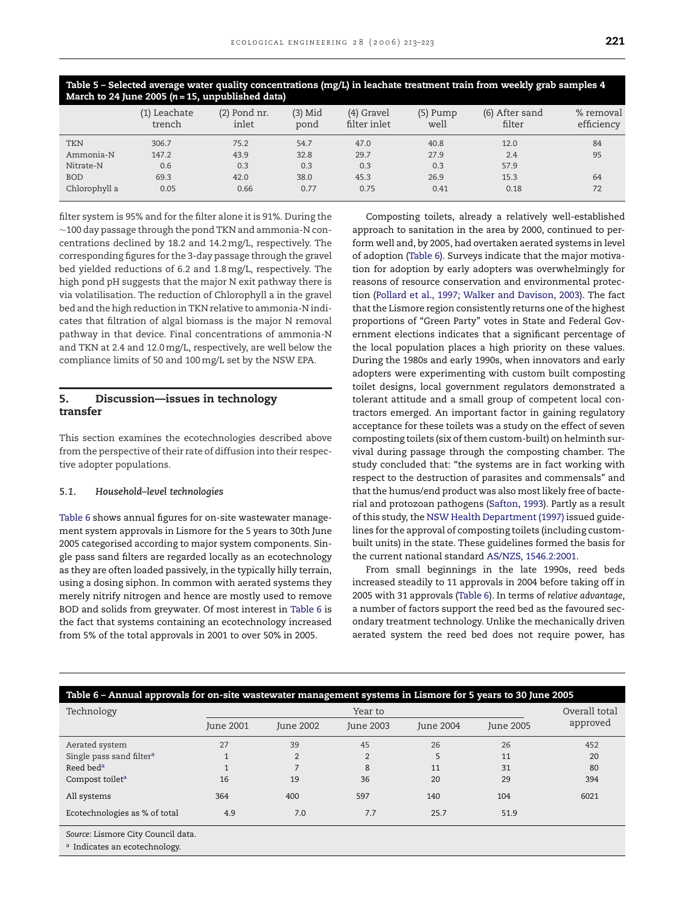<span id="page-8-0"></span>

| Table 5 – Selected average water quality concentrations (mg/L) in leachate treatment train from weekly grab samples 4<br>March to 24 June 2005 ( $n = 15$ , unpublished data) |                        |                         |                   |                            |                    |                          |                         |  |
|-------------------------------------------------------------------------------------------------------------------------------------------------------------------------------|------------------------|-------------------------|-------------------|----------------------------|--------------------|--------------------------|-------------------------|--|
|                                                                                                                                                                               | (1) Leachate<br>trench | $(2)$ Pond nr.<br>inlet | $(3)$ Mid<br>pond | (4) Gravel<br>filter inlet | $(5)$ Pump<br>well | (6) After sand<br>filter | % removal<br>efficiency |  |
| <b>TKN</b>                                                                                                                                                                    | 306.7                  | 75.2                    | 54.7              | 47.0                       | 40.8               | 12.0                     | 84                      |  |
| Ammonia-N                                                                                                                                                                     | 147.2                  | 43.9                    | 32.8              | 29.7                       | 27.9               | 2.4                      | 95                      |  |
| Nitrate-N                                                                                                                                                                     | 0.6                    | 0.3                     | 0.3               | 0.3                        | 0.3                | 57.9                     |                         |  |
| <b>BOD</b>                                                                                                                                                                    | 69.3                   | 42.0                    | 38.0              | 45.3                       | 26.9               | 15.3                     | 64                      |  |
| Chlorophyll a                                                                                                                                                                 | 0.05                   | 0.66                    | 0.77              | 0.75                       | 0.41               | 0.18                     | 72                      |  |

filter system is 95% and for the filter alone it is 91%. During the ∼100 day passage through the pond TKN and ammonia-N concentrations declined by 18.2 and 14.2mg/L, respectively. The corresponding figures for the 3-day passage through the gravel bed yielded reductions of 6.2 and 1.8mg/L, respectively. The high pond pH suggests that the major N exit pathway there is via volatilisation. The reduction of Chlorophyll a in the gravel bed and the high reduction in TKN relative to ammonia-N indicates that filtration of algal biomass is the major N removal pathway in that device. Final concentrations of ammonia-N and TKN at 2.4 and 12.0mg/L, respectively, are well below the compliance limits of 50 and 100mg/L set by the NSW EPA.

## **5. Discussion—issues in technology transfer**

This section examines the ecotechnologies described above from the perspective of their rate of diffusion into their respective adopter populations.

#### *5.1. Household–level technologies*

Table 6 shows annual figures for on-site wastewater management system approvals in Lismore for the 5 years to 30th June 2005 categorised according to major system components. Single pass sand filters are regarded locally as an ecotechnology as they are often loaded passively, in the typically hilly terrain, using a dosing siphon. In common with aerated systems they merely nitrify nitrogen and hence are mostly used to remove BOD and solids from greywater. Of most interest in Table 6 is the fact that systems containing an ecotechnology increased from 5% of the total approvals in 2001 to over 50% in 2005.

Composting toilets, already a relatively well-established approach to sanitation in the area by 2000, continued to perform well and, by 2005, had overtaken aerated systems in level of adoption (Table 6). Surveys indicate that the major motivation for adoption by early adopters was overwhelmingly for reasons of resource conservation and environmental protection ([Pollard et al., 1997; Walker and Davison, 2003\).](#page-10-0) The fact that the Lismore region consistently returns one of the highest proportions of "Green Party" votes in State and Federal Government elections indicates that a significant percentage of the local population places a high priority on these values. During the 1980s and early 1990s, when innovators and early adopters were experimenting with custom built composting toilet designs, local government regulators demonstrated a tolerant attitude and a small group of competent local contractors emerged. An important factor in gaining regulatory acceptance for these toilets was a study on the effect of seven composting toilets (six of them custom-built) on helminth survival during passage through the composting chamber. The study concluded that: "the systems are in fact working with respect to the destruction of parasites and commensals" and that the humus/end product was also most likely free of bacterial and protozoan pathogens ([Safton, 1993\).](#page-10-0) Partly as a result of this study, the [NSW Health Department \(1997\)](#page-10-0) issued guidelines for the approval of composting toilets (including custombuilt units) in the state. These guidelines formed the basis for the current national standard [AS/NZS, 1546.2:2001.](#page-10-0)

From small beginnings in the late 1990s, reed beds increased steadily to 11 approvals in 2004 before taking off in 2005 with 31 approvals (Table 6). In terms of *relative advantage*, a number of factors support the reed bed as the favoured secondary treatment technology. Unlike the mechanically driven aerated system the reed bed does not require power, has

| Table 6 – Annual approvals for on-site wastewater management systems in Lismore for 5 years to 30 June 2005 |           |                |           |           |           |          |  |
|-------------------------------------------------------------------------------------------------------------|-----------|----------------|-----------|-----------|-----------|----------|--|
| Technology                                                                                                  |           | Overall total  |           |           |           |          |  |
|                                                                                                             | June 2001 | June 2002      | June 2003 | June 2004 | June 2005 | approved |  |
| Aerated system                                                                                              | 27        | 39             | 45        | 26        | 26        | 452      |  |
| Single pass sand filter <sup>a</sup>                                                                        |           | $\overline{2}$ | 2         | 5         | 11        | 20       |  |
| Reed bed <sup>a</sup>                                                                                       |           |                | 8         | 11        | 31        | 80       |  |
| Compost toilet <sup>a</sup>                                                                                 | 16        | 19             | 36        | 20        | 29        | 394      |  |
| All systems                                                                                                 | 364       | 400            | 597       | 140       | 104       | 6021     |  |
| Ecotechnologies as % of total                                                                               | 4.9       | 7.0            | 7.7       | 25.7      | 51.9      |          |  |
| Source: Lismore City Council data.                                                                          |           |                |           |           |           |          |  |
| <sup>a</sup> Indicates an ecotechnology.                                                                    |           |                |           |           |           |          |  |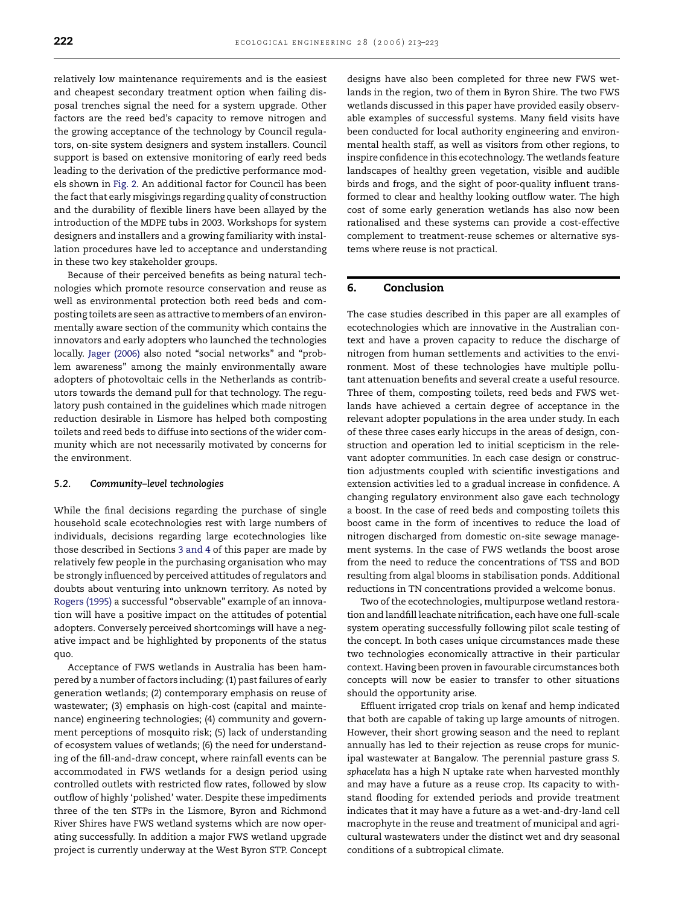relatively low maintenance requirements and is the easiest and cheapest secondary treatment option when failing disposal trenches signal the need for a system upgrade. Other factors are the reed bed's capacity to remove nitrogen and the growing acceptance of the technology by Council regulators, on-site system designers and system installers. Council support is based on extensive monitoring of early reed beds leading to the derivation of the predictive performance models shown in [Fig. 2. A](#page-3-0)n additional factor for Council has been the fact that early misgivings regarding quality of construction and the durability of flexible liners have been allayed by the introduction of the MDPE tubs in 2003. Workshops for system designers and installers and a growing familiarity with installation procedures have led to acceptance and understanding in these two key stakeholder groups.

Because of their perceived benefits as being natural technologies which promote resource conservation and reuse as well as environmental protection both reed beds and composting toilets are seen as attractive to members of an environmentally aware section of the community which contains the innovators and early adopters who launched the technologies locally. [Jager \(2006\)](#page-10-0) also noted "social networks" and "problem awareness" among the mainly environmentally aware adopters of photovoltaic cells in the Netherlands as contributors towards the demand pull for that technology. The regulatory push contained in the guidelines which made nitrogen reduction desirable in Lismore has helped both composting toilets and reed beds to diffuse into sections of the wider community which are not necessarily motivated by concerns for the environment.

#### *5.2. Community–level technologies*

While the final decisions regarding the purchase of single household scale ecotechnologies rest with large numbers of individuals, decisions regarding large ecotechnologies like those described in Sections [3 and 4](#page-4-0) of this paper are made by relatively few people in the purchasing organisation who may be strongly influenced by perceived attitudes of regulators and doubts about venturing into unknown territory. As noted by [Rogers \(1995\)](#page-10-0) a successful "observable" example of an innovation will have a positive impact on the attitudes of potential adopters. Conversely perceived shortcomings will have a negative impact and be highlighted by proponents of the status quo.

Acceptance of FWS wetlands in Australia has been hampered by a number of factors including: (1) past failures of early generation wetlands; (2) contemporary emphasis on reuse of wastewater; (3) emphasis on high-cost (capital and maintenance) engineering technologies; (4) community and government perceptions of mosquito risk; (5) lack of understanding of ecosystem values of wetlands; (6) the need for understanding of the fill-and-draw concept, where rainfall events can be accommodated in FWS wetlands for a design period using controlled outlets with restricted flow rates, followed by slow outflow of highly 'polished' water. Despite these impediments three of the ten STPs in the Lismore, Byron and Richmond River Shires have FWS wetland systems which are now operating successfully. In addition a major FWS wetland upgrade project is currently underway at the West Byron STP. Concept designs have also been completed for three new FWS wetlands in the region, two of them in Byron Shire. The two FWS wetlands discussed in this paper have provided easily observable examples of successful systems. Many field visits have been conducted for local authority engineering and environmental health staff, as well as visitors from other regions, to inspire confidence in this ecotechnology. The wetlands feature landscapes of healthy green vegetation, visible and audible birds and frogs, and the sight of poor-quality influent transformed to clear and healthy looking outflow water. The high cost of some early generation wetlands has also now been rationalised and these systems can provide a cost-effective complement to treatment-reuse schemes or alternative systems where reuse is not practical.

## **6. Conclusion**

The case studies described in this paper are all examples of ecotechnologies which are innovative in the Australian context and have a proven capacity to reduce the discharge of nitrogen from human settlements and activities to the environment. Most of these technologies have multiple pollutant attenuation benefits and several create a useful resource. Three of them, composting toilets, reed beds and FWS wetlands have achieved a certain degree of acceptance in the relevant adopter populations in the area under study. In each of these three cases early hiccups in the areas of design, construction and operation led to initial scepticism in the relevant adopter communities. In each case design or construction adjustments coupled with scientific investigations and extension activities led to a gradual increase in confidence. A changing regulatory environment also gave each technology a boost. In the case of reed beds and composting toilets this boost came in the form of incentives to reduce the load of nitrogen discharged from domestic on-site sewage management systems. In the case of FWS wetlands the boost arose from the need to reduce the concentrations of TSS and BOD resulting from algal blooms in stabilisation ponds. Additional reductions in TN concentrations provided a welcome bonus.

Two of the ecotechnologies, multipurpose wetland restoration and landfill leachate nitrification, each have one full-scale system operating successfully following pilot scale testing of the concept. In both cases unique circumstances made these two technologies economically attractive in their particular context. Having been proven in favourable circumstances both concepts will now be easier to transfer to other situations should the opportunity arise.

Effluent irrigated crop trials on kenaf and hemp indicated that both are capable of taking up large amounts of nitrogen. However, their short growing season and the need to replant annually has led to their rejection as reuse crops for municipal wastewater at Bangalow. The perennial pasture grass *S. sphacelata* has a high N uptake rate when harvested monthly and may have a future as a reuse crop. Its capacity to withstand flooding for extended periods and provide treatment indicates that it may have a future as a wet-and-dry-land cell macrophyte in the reuse and treatment of municipal and agricultural wastewaters under the distinct wet and dry seasonal conditions of a subtropical climate.